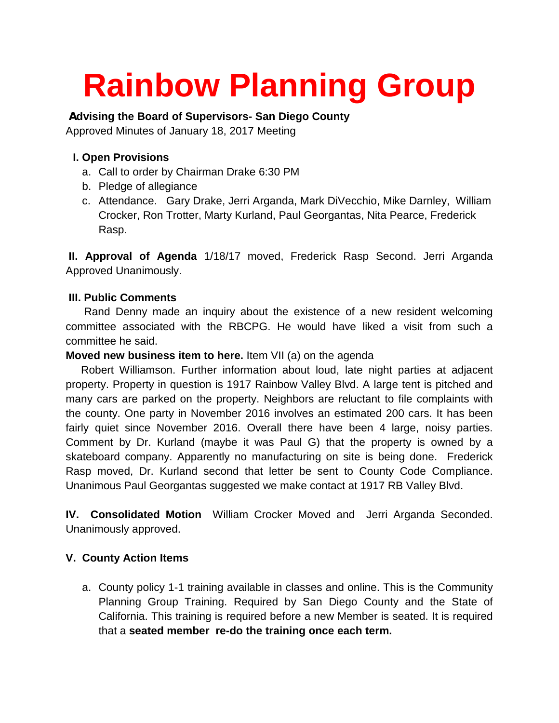# **Rainbow Planning Group**

## **Advising the Board of Supervisors- San Diego County**

Approved Minutes of January 18, 2017 Meeting

## **I. Open Provisions**

- a. Call to order by Chairman Drake 6:30 PM
- b. Pledge of allegiance
- c. Attendance. Gary Drake, Jerri Arganda, Mark DiVecchio, Mike Darnley, William Crocker, Ron Trotter, Marty Kurland, Paul Georgantas, Nita Pearce, Frederick Rasp.

**II. Approval of Agenda** 1/18/17 moved, Frederick Rasp Second. Jerri Arganda Approved Unanimously.

## **III. Public Comments**

 Rand Denny made an inquiry about the existence of a new resident welcoming committee associated with the RBCPG. He would have liked a visit from such a committee he said.

#### **Moved new business item to here.** Item VII (a) on the agenda

Robert Williamson. Further information about loud, late night parties at adjacent property. Property in question is 1917 Rainbow Valley Blvd. A large tent is pitched and many cars are parked on the property. Neighbors are reluctant to file complaints with the county. One party in November 2016 involves an estimated 200 cars. It has been fairly quiet since November 2016. Overall there have been 4 large, noisy parties. Comment by Dr. Kurland (maybe it was Paul G) that the property is owned by a skateboard company. Apparently no manufacturing on site is being done. Frederick Rasp moved, Dr. Kurland second that letter be sent to County Code Compliance. Unanimous Paul Georgantas suggested we make contact at 1917 RB Valley Blvd.

**IV. Consolidated Motion** William Crocker Moved and Jerri Arganda Seconded. Unanimously approved.

## **V. County Action Items**

a. County policy 1-1 training available in classes and online. This is the Community Planning Group Training. Required by San Diego County and the State of California. This training is required before a new Member is seated. It is required that a **seated member re-do the training once each term.**